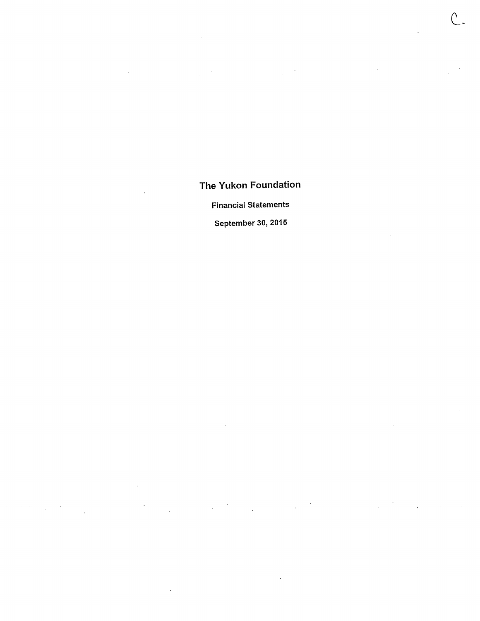$\bar{z}$ 

 $\hat{\mathcal{A}}$ 

 $\bar{\gamma}$ 

 $\overline{a}$ 

 $\ddot{\phantom{a}}$ 

 $\bar{\beta}$ 

Financial Statements

September 30, 2015

 $\overline{\phantom{a}}$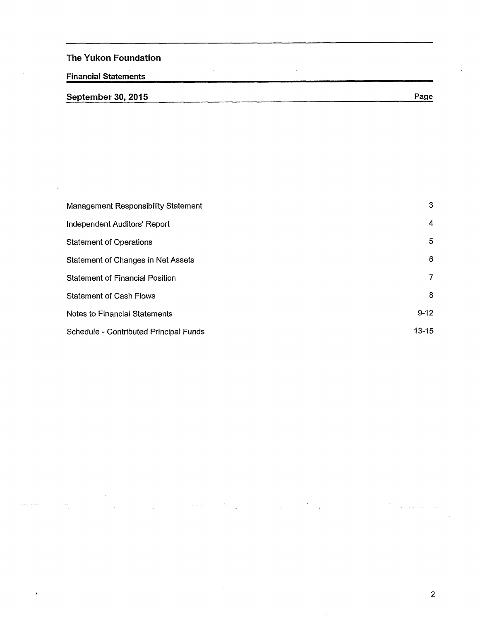# Financial Statements

# September 30, 2015 Page

an ar an a

 $\mathbb{R}^2$ 

 $\hat{\mathcal{L}}$ 

| Management Responsibility Statement    | 3         |
|----------------------------------------|-----------|
| Independent Auditors' Report           | 4         |
| <b>Statement of Operations</b>         | 5         |
| Statement of Changes in Net Assets     | 6         |
| <b>Statement of Financial Position</b> | 7         |
| <b>Statement of Cash Flows</b>         | 8         |
| Notes to Financial Statements          | $9 - 12$  |
| Schedule - Contributed Principal Funds | $13 - 15$ |

 $\hat{\rho}_{\rm{max}}$  , and  $\hat{\rho}_{\rm{max}}$ 

 $\ddot{\phantom{a}}$ 

 $\mathbb{R}^2$ 

 $\frac{1}{2}$ 

 $\hat{\mathcal{L}}$ 

 $\ddot{\phantom{0}}$ 

 $\overline{\gamma}$  ,  $\gamma$  ,  $\gamma$  ,  $\gamma$  , and

 $\mathcal{L}(\mathcal{A}_1)$ 

 $\ddot{\phantom{a}}$ 

 $\Delta$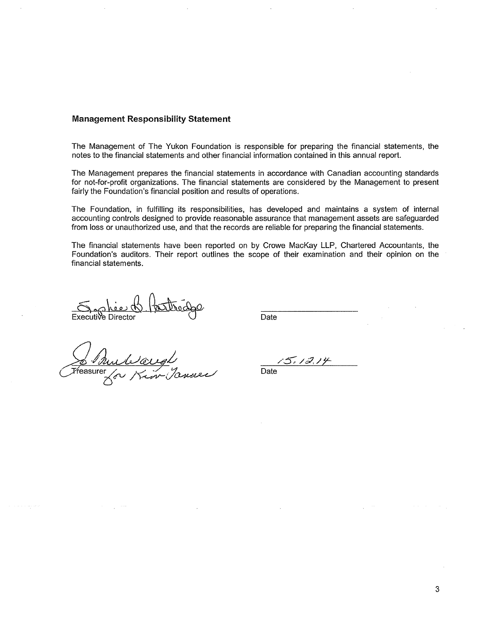### Management Responsibility Statement

The Management of The Yukon Foundation is responsible for preparing the financial statements, the notes to the financial statements and other financial information contained in this annual report.

The Management prepares the financial statements in accordance with Canadian accounting standards for not-for-profit organizations. The financial statements are considered by the Management to present fairly the Foundation's financial position and results of operations.

The Foundation, in fulfilling its responsibilities, has developed and maintains a system of internal accounting controls designed to provide reasonable assurance that management assets are safeguarded from loss or unauthorized use, and that the records are reliable for preparing the financial statements.

The financial statements have been reported on by Crowe MacKay LLP, Chartered Accountants, the Foundation's auditors. Their report outlines the scope of their examination and their opinion on the financial statements.

 $\curvearrowright$ Executive Director Date

 $1/2.14$ Preasurer for Kin January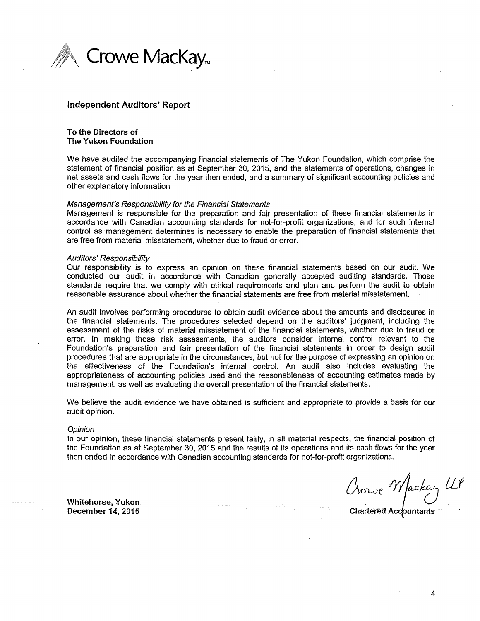

### Independent Auditors' Report

To the Directors of The Yukon Foundation

We have audited the accompanying financial statements of The Yukon Foundation, which comprise the statement of financial position as at September 30, 2015, and the statements of operations, changes in net assets and cash flows for the year then ended, and a summary of significant accounting policies and other explanatory information

#### Management's Responsibility for the Financial Statements

Management is responsible for the preparation and fair presentation of these financial statements in accordance with Canadian accounting standards for not-for-profit organizations, and for such internal control as management determines is necessary to enable the preparation of financial statements that are free from material misstatement, whether due to fraud or error.

#### Auditors' Responsibility

Our responsibility is to express an opinion on these financial statements based on our audit. We conducted our audit in accordance with Canadian generally accepted auditing standards. Those standards require that we comply with ethical requirements and plan and perform the audit to obtain reasonable assurance about whether the financial statements are free from material misstatement.

An audit involves performing procedures to obtain audit evidence about the amounts and disclosures in the financial statements. The procedures selected depend on the auditors' judgment, including the assessment of the risks of material misstatement of the financial statements, whether due to fraud or error. In making those risk assessments, the auditors consider internal control relevant to the Foundation's preparation and fair presentation of the financial statements in order to design audit procedures that are appropriate in the circumstances, but not for the purpose of expressing an opinion on the effectiveness of the Foundation's internal control. An audit also includes evaluating the appropriateness of accounting policies used and the reasonableness of accounting estimates made by management, as well as evaluating the overall presentation of the financial statements.

We believe the audit evidence we have obtained is sufficient and appropriate to provide a basis for our audit opinion.

#### Opinion

In our opinion, these financial statements present fairly, in all material respects, the financial position of the Foundation as at September 30, 2015 and the results of its operations and its cash flows for the year then ended in accordance with Canadian accounting standards for not—for—profit organizations.

' '

Crowe Mackay LLF

Whitehorse, Yukon . The contract of the contract of  $\mathcal{C}$  . The contract of  $\mathcal{C}$  . The contract of  $\mathcal{C}$  . December 14, 2015

' Chartered Accountants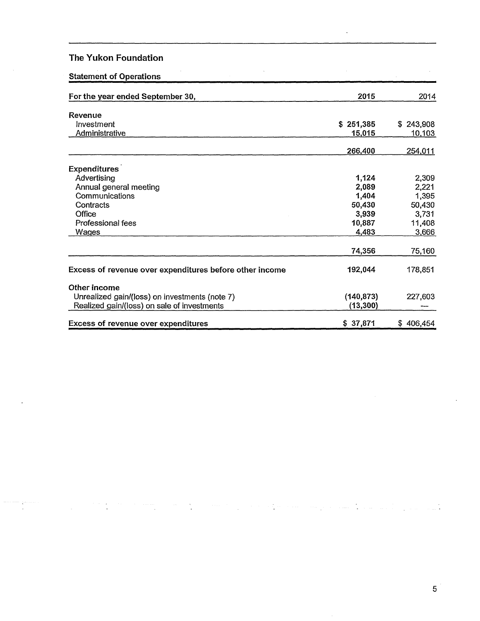## Statement of Operations

gan berasa.<br>G

 $\overline{\phantom{a}}$ 

Ń

| For the year ended September 30,                        | 2015          | 2014          |
|---------------------------------------------------------|---------------|---------------|
| Revenue                                                 |               |               |
| Investment                                              | \$251,385     | \$243,908     |
| Administrative                                          | <u>15,015</u> | <u>10,103</u> |
|                                                         | 266,400       | 254,011       |
|                                                         |               |               |
| <b>Expenditures</b>                                     |               |               |
| Advertising                                             | 1,124         | 2,309         |
| Annual general meeting                                  | 2,089         | 2,221         |
| Communications                                          | 1,404         | 1,395         |
| Contracts                                               | 50,430        | 50,430        |
| Office                                                  | 3,939         | 3,731         |
| Professional fees                                       | 10,887        | 11,408        |
| Wages                                                   | 4,483         | 3,666         |
|                                                         | 74,356        | 75,160        |
| Excess of revenue over expenditures before other income | 192,044       | 178,851       |
| Other income                                            |               |               |
| Unrealized gain/(loss) on investments (note 7)          | (140, 873)    | 227,603       |
| Realized gain/(loss) on sale of investments             | (13, 300)     |               |
| <b>Excess of revenue over expenditures</b>              | \$37,871      | \$406,454     |

 $\hat{\mathcal{A}}$ 

 $\ddot{\phantom{1}}$ 

 $\hat{\boldsymbol{\beta}}$ 

الموارد المتأول المتوارد الموارد المتحدة المتحدة المتحدة المتحدة المتحدة المتحدة المتحدة المتحدة المتحدة المتحد

 $\mathcal{L}^{\mathcal{A}}$ 

 $\frac{1}{2}$  .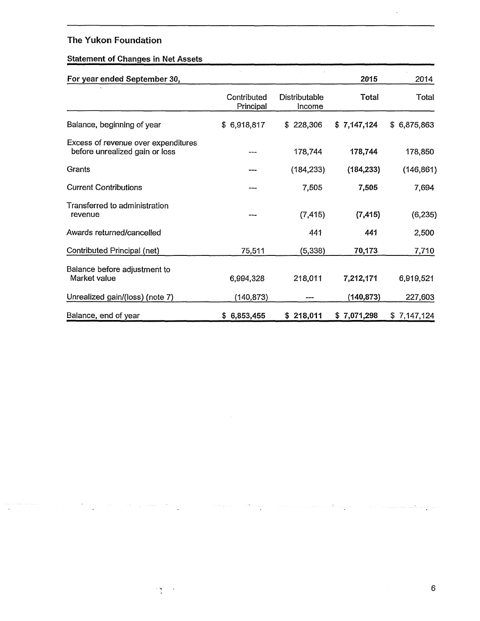## Statement of Changes in Net Assets

| For year ended September 30,                                          |                          |                                | 2015         | 2014        |
|-----------------------------------------------------------------------|--------------------------|--------------------------------|--------------|-------------|
|                                                                       | Contributed<br>Principal | <b>Distributable</b><br>Income | <b>Total</b> | Total       |
| Balance, beginning of year                                            | \$6,918,817              | \$228,306                      | \$7,147,124  | \$6,875,863 |
| Excess of revenue over expenditures<br>before unrealized gain or loss |                          | 178,744                        | 178,744      | 178,850     |
| Grants                                                                |                          | (184, 233)                     | (184, 233)   | (146, 861)  |
| <b>Current Contributions</b>                                          |                          | 7,505                          | 7,505        | 7,694       |
| Transferred to administration<br>revenue                              |                          | (7, 415)                       | (7, 415)     | (6, 235)    |
| Awards returned/cancelled                                             |                          | 441                            | 441          | 2,500       |
| Contributed Principal (net)                                           | 75,511                   | (5, 338)                       | 70,173       | 7,710       |
| Balance before adjustment to<br>Market value                          | 6,994,328                | 218,011                        | 7,212,171    | 6,919,521   |
| Unrealized gain/(loss) (note 7)                                       | (140, 873)               |                                | (140, 873)   | 227,603     |
| Balance, end of year                                                  | \$6,853,455              | \$218,011                      | \$7,071,298  | \$7,147,124 |

 $\gamma_{\rm{g}}$  , and  $\gamma_{\rm{m}}$ 

 $\sum_{i=1}^n \alpha_i$ 

T,

 $\sim$ 

استوصف سنتو ستوصو ومأرو ووازن والمتشور استعاد واستدعى والمراجعتين الرابعة والمتحارب وللمراجع ستعارض والمراجع والمراجع

 $\boldsymbol{6}$ 

 $\ddot{\phantom{a}}$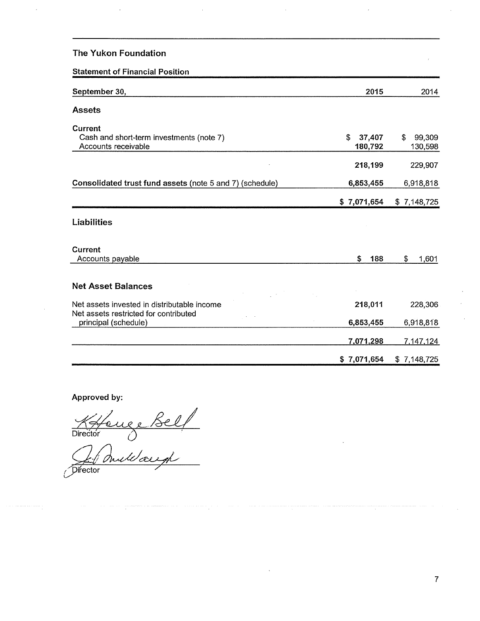| <b>Statement of Financial Position</b>                                                   |                         |                          |
|------------------------------------------------------------------------------------------|-------------------------|--------------------------|
| September 30,                                                                            | 2015                    | 2014                     |
| <b>Assets</b>                                                                            |                         |                          |
| <b>Current</b><br>Cash and short-term investments (note 7)<br><b>Accounts receivable</b> | \$<br>37,407<br>180,792 | 99,309<br>\$.<br>130,598 |
|                                                                                          | 218,199                 | 229,907                  |
| Consolidated trust fund assets (note 5 and 7) (schedule)                                 | 6,853,455               | 6,918,818                |
|                                                                                          | \$7,071,654             | \$7,148,725              |
| <b>Liabilities</b>                                                                       |                         |                          |
| Current<br>Accounts payable                                                              | \$<br>188               | \$<br>1,601              |
| <b>Net Asset Balances</b>                                                                |                         |                          |
| Net assets invested in distributable income<br>Net assets restricted for contributed     | 218,011                 | 228,306                  |
| principal (schedule)                                                                     | 6,853,455               | 6,918,818                |
|                                                                                          | 7,071,298               | 7,147,124                |
|                                                                                          | \$7,071,654             | \$7,148,725              |

Approved by:

Director'  $\bigcirc$ 

 $\sqrt{$ Director  $\sqrt{ }$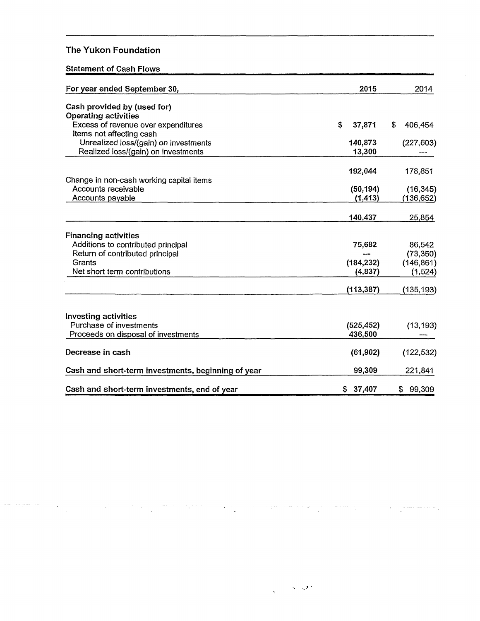## Statement of Cash Flows

| For year ended September 30,                                    | 2015         | 2014         |
|-----------------------------------------------------------------|--------------|--------------|
| Cash provided by (used for)                                     |              |              |
| <b>Operating activities</b>                                     |              |              |
| Excess of revenue over expenditures                             | \$<br>37,871 | S<br>406,454 |
| Items not affecting cash                                        |              |              |
| Unrealized loss/(gain) on investments                           | 140,873      | (227, 603)   |
| Realized loss/(gain) on investments                             | 13,300       |              |
|                                                                 |              |              |
|                                                                 | 192,044      | 178,851      |
| Change in non-cash working capital items<br>Accounts receivable | (50, 194)    | (16, 345)    |
| Accounts payable                                                | (1, 413)     | (136, 652)   |
|                                                                 |              |              |
|                                                                 | 140,437      | 25,854       |
| <b>Financing activities</b>                                     |              |              |
| Additions to contributed principal                              | 75,682       | 86,542       |
| Return of contributed principal                                 |              | (73, 350)    |
| Grants                                                          | (184, 232)   | (146, 861)   |
| Net short term contributions                                    | (4,837)      | (1,524)      |
|                                                                 | (113, 387)   | (135, 193)   |
|                                                                 |              |              |
| <b>Investing activities</b>                                     |              |              |
| Purchase of investments                                         | (525, 452)   | (13, 193)    |
| Proceeds on disposal of investments                             | 436,500      |              |
| Decrease in cash                                                | (61, 902)    | (122, 532)   |
| Cash and short-term investments, beginning of year              | 99,309       | 221,841      |
| Cash and short-term investments, end of year                    | \$37,407     | \$99,309     |

وسيستستس والمستشرع والمستشر والمتحدث والمستحدث والمتحدث والمتحدث والمستحدث المتحدث والمتحدث والمتحدث

 $\frac{1}{3} \left( \frac{1}{2} \right)^{2} \left( \frac{1}{2} \right)^{2} \left( \frac{1}{2} \right)^{2}$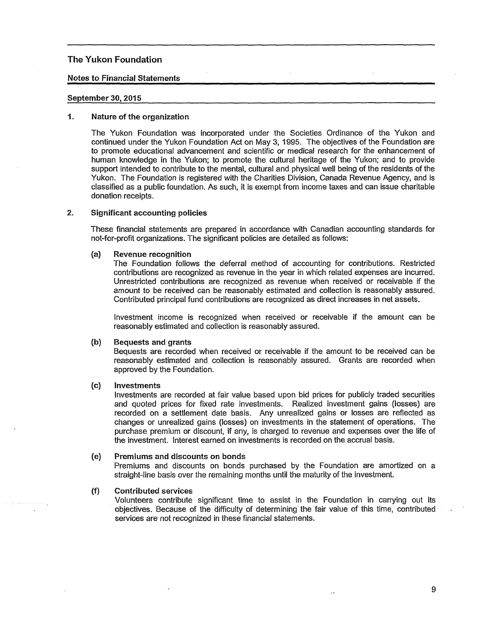#### **Notes to Financial Statements**

#### September 30, 2015

#### 1. Nature of the organization

The Yukon Foundation was incorporated under the Societies Ordinance of the Yukon and continued under the Yukon Foundation Act on May 3, 1995. The objectives of the Foundation are to promote educational advancement and scientific or medical research for the enhancement of human knowledge in the Yukon; to promote the cultural heritage of the Yukon; and to provide support intended to contribute to the mental, cultural and physical well being of the residents of the Yukon. The Foundation is registered with the Charities Division, Canada Revenue Agency, and is classified as a public foundation. As such, it is exempt from income taxes and can issue charitable donation receipts.

#### $2.$ Significant accounting policies

These financial statements are prepared in accordance with Canadian accounting standards for not-for—profit organizations. The significant policies are detailed as follows:

#### (a) Revenue recognition

The Foundation foflows the deferral method of accounting for contributions. Restricted contributions are recognized as revenue in the year in which related expenses are incurred. Unrestricted contributions are recognized as revenue when received or receivabie if the amount to be received can be reasonably estimated and collection is reasonably assured. Contributed principal fund contributions are recognized as direct increases in net assets.

Investment income is recognized when received or receivable if the amount can be reasonably estimated and collection is reasonably assured.

#### (b) Bequests and grants

Bequests are recorded when received or receivable if the amount to be received can be reasonably estimated and collection is reasonably assured. Grants are recorded when approved by the Foundation.

#### (c) Investments

Investments are recorded at fair value based upon bid prices for pubiicly traded securities and quoted prices for fixed rate investments. Realized investment gains (losses) are recorded on a settlement date basis. Any unrealized gains or losses are reflected as changes or unrealized gains (losses) on investments in the statement of operations. The purchase premium or discount, if any, is charged to revenue and expenses over the life of the investment. Interest earned on investments is recorded on the accrual basis.

#### (e) Premiums and discounts on bonds

Premiums and discounts on bonds purchased by the Foundation are amortized on a straight-line basis over the remaining months until the maturity of the investment.

#### (f) Contributed services

Volunteers contribute significant time to assist in the Foundation in carrying out its objectives. Because of the difficulty of determining the fair value of this time, contributed services are not recognized in these financial statements.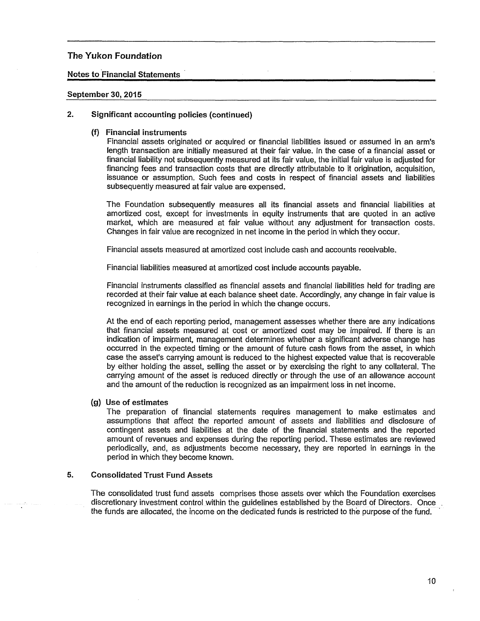#### Notes to Financial Statements

#### September 30, 2015

#### 2. Significant accounting policies (continued)

#### (f) Financial instruments

Financial assets originated or acquired or financial liabilities issued or assumed in an arm's length transaction are initially measured at their fair vafue. In the case of a financial asset or financial liability not subsequently measured at its fair value, the initial fair value is adjusted for financing fees and transaction costs that are directly attributable to it origination, acquisition, issuance or assumption. Such fees and costs in respect of financial assets and liabilities subsequently measured at fair value are expensed.

The Foundation subsequently measures all its financial assets and financial liabilities at amortized cost, except for investments in equity instruments that are quoted in an active market, which are measured at fair value without any adjustment for transaction costs. Changes in fair value are recognized in net income in the period in which they occur.

Financial assets measured at amortized cost include cash and accounts receivable.

Financial liabilities measured at amortized cost include accounts payable.

Financial instruments classified as financial assets and financial liabilities held for trading are recorded at their fair value at each balance sheet date. Accordingiy, any change in fair value is recognized in earnings in the period in which the change occurs.

At the end of each reporting period, management assesses whether there are any indications that financial assets measured at cost or amortized cost may be impaired. If there is an indication of impairment, management determines whether a significant adverse change has occurred in the expected timing or the amount of future cash flows from the asset, in which case the asset's carrying amount is reduced to the highest expected value that is recoverable by either hotding the asset, selling the asset or by exercising the right to any collateral. The carrying amount of the asset is reduced directly or through the use of an allowance account and the amount of the reduction is recognized as an impairment loss in net income.

### (9) Use of estimates

The preparation of financial statements requires management to make estimates and assumptions that affect the reported amount of' assets and liabilities and disclosure of contingent assets and liabilities at the date of the financiai statements and the reported amount of revenues and expenses during the reporting period. These estimates are reviewed periodically, and, as adjustments become necessary, they are reported in earnings in the period in which they become known.

#### 5. Consolidated Trust Fund Assets

The consolidated trust fund assets comprises those assets over which the Foundation exercises discretionary investment control within the guidelines established by the Board of Directors. Once the funds are allocated, the income on the dedicated funds is restricted to the purpose of the fund.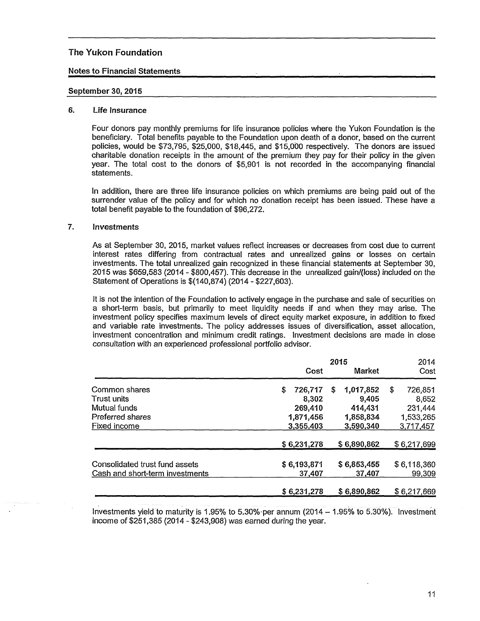#### Notes to Financial Statements

#### September 30, 2015

#### 6. Life Insurance

Four donors pay monthly premiums for life insurance policies where the Yukon Foundation is the beneficiary. Total benefits payable to the Foundation upon death of a donor, based on the current policies, would be \$73,795, \$25,000, \$18,445, and \$15,000 respectively. The donors are issued charitabie donation receipts in the amount of the premium they pay for their policy in the given year. The total cost to the donors of \$5,901 is not recorded in the accompanying financial statements.

in addition, there are three life insurance policies on which premiums are being paid out of the surrender value of the policy and for which no donation receipt has been issued. These have a total benefit payable to the foundation of \$96,272.

#### 7. Investments

As at September 30, 2015, market values reflect increases or decreases from cost due to current interest rates differing from contractual rates and unreaiized gains or losses on certain investments. The total unrealized gain recognized in these financial statements at September 30,  $2015$  was \$659,583 (2014 - \$800,457). This decrease in the unrealized gain/(loss) included on the Statement of Operations is  $$(140,874)$  (2014 - \$227,603).

It is not the intention of the Foundation to actively engage in the purchase and sale of securities on a short—term basis, but primarily to meet liquidity needs if and when they may arise. The investment policy specifies maximum Ievets of direct equity market exposure, in addition to fixed and variable rate investments. The policy addresses issues of diversification, asset allocation, investment concentration and minimum credit ratings. Investment decisions are made in close consuflation with an experienced professional portfolio advisor.

|                                 | 2015          |                | 2014         |
|---------------------------------|---------------|----------------|--------------|
|                                 | Cost          | <b>Market</b>  | Cost         |
| Common shares                   | 726,717<br>\$ | 1,017,852<br>S | S<br>726,851 |
| Trust units                     | 8,302         | 9,405          | 8,652        |
| Mutual funds                    | 269,410       | 414,431        | 231,444      |
| Preferred shares                | 1,871,456     | 1,858,834      | 1,533,265    |
| Fixed income                    | 3.355.403     | 3,590,340      | 3,717,457    |
|                                 | \$6,231,278   | \$6,890,862    | \$6,217,699  |
| Consolidated trust fund assets  | \$6,193,871   | \$6,853,455    | \$6,118,360  |
| Cash and short-term investments | 37,407        | 37,407         | 99,309       |
|                                 | \$6,231,278   | \$6,890,862    | \$6,217,669  |

Investments yield to maturity is 1.95% to 5.30% per annum (2014  $-$  1.95% to 5.30%). Investment income of \$251,385 (2014 - \$243,908) was earned during the year.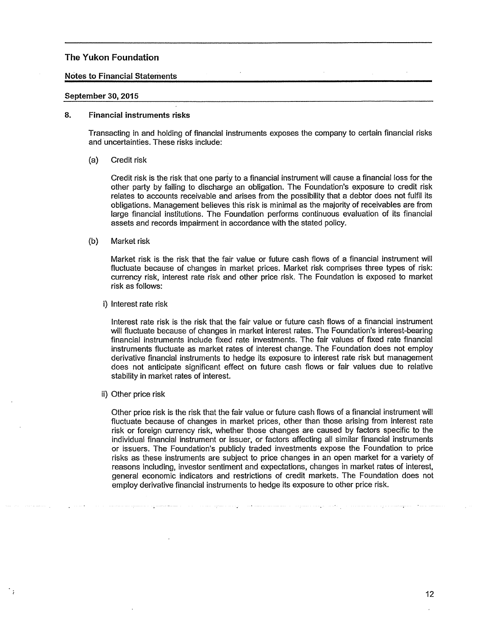#### **Notes to Financial Statements**

#### September 30, 2015

#### 8. Financial instruments risks

Transacting in and holding of financial instruments exposes the company to certain financial risks and uncertainties. These risks include:

#### (a) Credit risk

Credit risk is the risk that one party to a financial instrument will cause a financial loss for the other party by failing to discharge an obligation. The Foundation's exposure to credit risk relates to accounts receivable and arises from the possibility that a debtor does not fulfil its obligations. Management believes this risk is minimal as the majority of receivables are from large financiai institutions. The Foundation performs continuous evaluation of its financial assets and records impairment in accordance with the stated poiicy.

#### $(b)$ Market risk

Market risk is the risk that the fair value or future cash flows of a financial instrument will fluctuate because of changes in market prices. Market risk comprises three types of risk: currency risk, interest rate risk and other price risk. The Foundation is exposed to market risk as follows:

#### i) Interest rate risk

Interest rate risk is the risk that the fair vaiue or future cash flows of a financial instrument will fluctuate because of changes in market interest rates. The Foundation's interest~bearing financial instruments include fixed rate investments. The fair values of fixed rate financial instruments fluctuate as market rates of interest change. The Foundation does not employ derivative financial instruments to hedge its exposure to interest rate risk but management does not anticipate significant effect on future cash flows or fair values due to reiative stability in market rates of interest.

#### ii) Other price risk

Other price risk is the risk that the fair value or future cash flows of a financial instrument will fluctuate because of changes in market prices, other than those arising from interest rate risk or foreign currency risk, whether those changes are caused by factors specific to the individual financial instrument or issuer, or factors affecting ali similar financial instruments or issuers. The Foundation's publiciy traded investments expose the Foundation to price risks as these instruments are subject to price changes in an open market for a variety of reasons including, investor sentiment and expectations, changes in market rates of interest, general economic indicators and restrictions of credit markets. The Foundation does not employ derivative financial instruments to hedge its exposure to other price risk.

المستحقق والمستشفر والمنافس المستحققين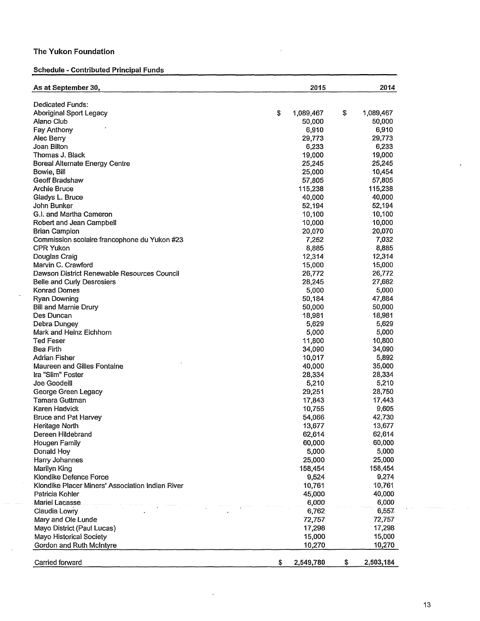$\sim$ 

 $\dot{\phi}$  and  $\dot{\phi}$  and  $\dot{\phi}$ 

## Schedule - Contributed Principal Funds

| As at September 30,                              | 2015            | 2014            |
|--------------------------------------------------|-----------------|-----------------|
| Dedicated Funds:                                 |                 |                 |
| Aboriginal Sport Legacy                          | \$<br>1,089,467 | \$<br>1,089,467 |
| Alano Club                                       | 50,000          | 50,000          |
| Fay Anthony                                      | 6,910           | 6,910           |
| Alec Berry                                       | 29,773          | 29,773          |
| Joan Bilton                                      | 6,233           | 6,233           |
| Thomas J. Black                                  | 19,000          | 19,000          |
| <b>Boreal Alternate Energy Centre</b>            | 25,245          | 25,245          |
| Bowie, Bill                                      | 25,000          | 10,454          |
| Geoff Bradshaw                                   | 57,805          | 57,805          |
| <b>Archie Bruce</b>                              | 115,238         | 115,238         |
| Gladys L. Bruce                                  | 40,000          | 40,000          |
| John Bunker                                      | 52,194          | 52,194          |
| G.I. and Martha Cameron                          | 10,100          | 10,100          |
| Robert and Jean Campbell                         | 10,000          | 10,000          |
| <b>Brian Campion</b>                             | 20,070          | 20,070          |
| Commission scolaire francophone du Yukon #23     | 7,252           | 7,032           |
| CPR Yukon                                        | 8,885           | 8,885           |
| Douglas Craig                                    | 12,314          | 12,314          |
| Marvin C. Crawford                               | 15,000          | 15,000          |
| Dawson District Renewable Resources Council      | 26,772          | 26,772          |
| <b>Belle and Curly Desrosiers</b>                | 28,245          | 27,682          |
| <b>Konrad Domes</b>                              | 5,000           | 5,000           |
| <b>Ryan Downing</b>                              | 50,184          | 47,884          |
| <b>Bill and Marnie Drury</b>                     | 50,000          | 50,000          |
| Des Duncan                                       | 18,981          | 18,981          |
| Debra Dungey                                     | 5,629           | 5,629           |
| Mark and Heinz Eichhorn                          | 5,000           | 5,000           |
| Ted Feser                                        | 11,800          | 10,800          |
| Bea Firth                                        | 34,090          | 34,090          |
| Adrian Fisher                                    | 10,017          | 5,892           |
| Maureen and Gilles Fontaine                      | 40,000          | 35,000          |
| Ira "Slim" Foster                                | 28,334          | 28,334          |
| Joe Goodeill                                     | 5,210           | 5,210           |
| George Green Legacy                              | 29,251          | 28,750          |
| <b>Tamara Guttman</b>                            | 17,843          | 17,443          |
| Karen Hadvick                                    | 10,755          | 9,605           |
|                                                  | 54,066          | 42,730          |
| <b>Bruce and Pat Harvey</b>                      |                 | 13,677          |
| Heritage North<br>Dereen Hildebrand              | 13,677          |                 |
|                                                  | 62,614          | 62,614          |
| Hougen Family                                    | 60,000          | 60,000<br>5,000 |
| Donald Hoy                                       | 5,000           | 25,000          |
| Harry Johannes                                   | 25,000          |                 |
| Marilyn King                                     | 158,454         | 158,454         |
| Klondike Defence Force                           | 9,524           | 9,274           |
| Klondike Placer Miners' Association Indian River | 10,761          | 10,761          |
| Patricia Kohler                                  | 45,000          | 40,000          |
| Mariel Lacasse                                   | 6,000           | 6,000           |
| Claudia Lowry                                    | 6,762           | 6,557           |
| Mary and Ole Lunde                               | 72,757          | 72,757          |
| Mayo District (Paul Lucas)                       | 17,298          | 17,298          |
| Mayo Historical Society                          | 15,000          | 15,000          |
| Gordon and Ruth McIntyre                         | 10,270          | 10,270          |
| Carried forward                                  | \$<br>2,549,780 | \$<br>2,503,184 |

 $\downarrow$ 

 $\mathcal{L}^{\pm}$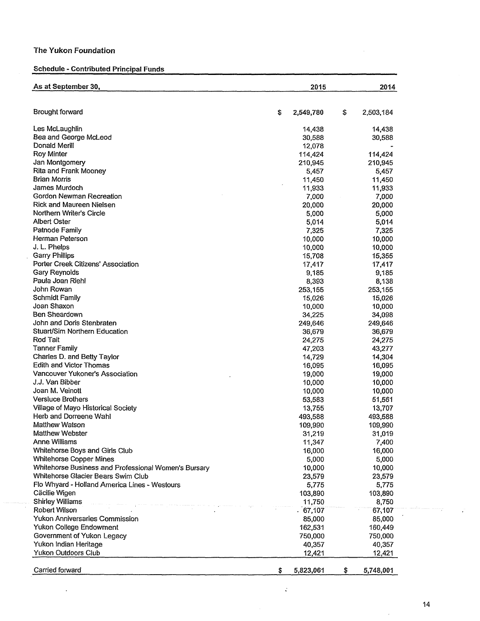$\sim$ 

#### Schedule - Contributed Principal Funds

| As at September 30,                                              | 2015            | 2014            |
|------------------------------------------------------------------|-----------------|-----------------|
| Brought forward                                                  | \$<br>2,549,780 | \$<br>2,503,184 |
| Les McLaughlin                                                   | 14,438          | 14,438          |
| Bea and George McLeod                                            | 30,588          | 30,588          |
| Donald Merill                                                    | 12,078          |                 |
| Roy Minter                                                       | 114,424         | 114,424         |
| Jan Montgomery                                                   | 210,945         | 210,945         |
| Rita and Frank Mooney                                            | 5,457           | 5,457           |
| Brian Morris                                                     | 11,450          | 11,450          |
| James Murdoch                                                    | 11,933          | 11,933          |
| <b>Gordon Newman Recreation</b>                                  | 7,000           | 7,000           |
| Rick and Maureen Nielsen                                         | 20,000          | 20,000          |
| Northern Writer's Circle                                         | 5,000           | 5,000           |
| <b>Albert Oster</b>                                              | 5,014           | 5,014           |
| Patnode Family                                                   | 7,325           | 7,325           |
| Herman Peterson                                                  | 10,000          | 10,000          |
| J. L. Phelps                                                     | 10,000          | 10,000          |
| <b>Garry Phillips</b>                                            | 15,708          | 15,355          |
| Porter Creek Citizens' Association                               | 17,417          | 17,417          |
| <b>Gary Reynolds</b>                                             | 9,185           | 9,185           |
| Paula Joan Riehl                                                 | 8,393           | 8,138           |
| John Rowan                                                       | 253,155         | 253,155         |
| Schmidt Family                                                   | 15,026          | 15,026          |
| Joan Shaxon                                                      | 10,000          | 10,000          |
| Ben Sheardown                                                    | 34,225          | 34,098          |
| John and Doris Stenbraten                                        | 249,646         | 249,646         |
| Stuart/Sim Northern Education                                    | 36,679          | 36,679          |
| Rod Tait                                                         | 24,275          | 24,275          |
| <b>Tanner Family</b>                                             | 47,203          | 43,277          |
| Charles D. and Betty Taylor                                      | 14,729          | 14,304          |
| Edith and Victor Thomas                                          | 16,095          | 16,095          |
| Vancouver Yukoner's Association                                  | 19,000          | 19,000          |
| J.J. Van Bibber                                                  | 10,000          | 10,000          |
| Joan M. Veinott                                                  | 10,000          | 10,000          |
| <b>Versluce Brothers</b>                                         | 53,583          | 51,561          |
| Village of Mayo Historical Society                               | 13,755          | 13,707          |
| Herb and Dorreene Wahl                                           | 493,588         | 493,588         |
| <b>Matthew Watson</b>                                            | 109,990         | 109,990         |
| <b>Matthew Webster</b>                                           | 31,219          | 31,019          |
| <b>Anne Williams</b>                                             | 11,347          | 7,400           |
| Whitehorse Boys and Girls Club                                   | 16,000          | 16,000          |
| <b>Whitehorse Copper Mines</b>                                   | 5,000           | 5,000           |
| Whitehorse Business and Professional Women's Bursary             | 10,000          | 10,000          |
| Whitehorse Glacier Bears Swim Club                               | 23,579          | 23,579          |
| Flo Whyard - Holland America Lines - Westours                    | 5,775           | 5,775           |
| Cäcilie Wigen                                                    | 103,890         | 103,890         |
| <b>Shirley Williams</b>                                          | 11,750          | 8,750           |
| state and a momentum and in the same production<br>Robert Wilson | . 67,107        | 67,107          |
| Yukon Anniversaries Commission                                   | 85,000          | 85,000          |
| Yukon College Endowment                                          | 162,531         | 160,449         |
| Government of Yukon Legacy                                       | 750,000         | 750,000         |
| Yukon Indian Heritage                                            | 40,357          | 40,357          |
| Yukon Outdoors Club                                              | 12,421          | 12,421          |
|                                                                  |                 |                 |
| Carried forward                                                  | \$<br>5,823,061 | \$<br>5,748,001 |

 $\mathbb{R}^2$ 

 $\bar{\lambda}$ 

an al na manais an coisin